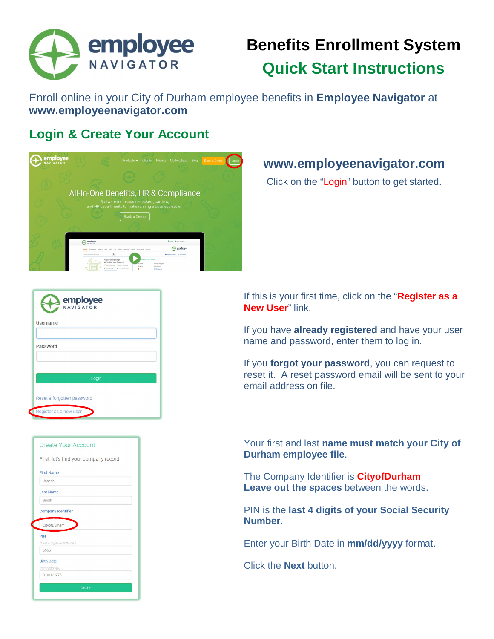

# **Benefits Enrollment System Quick Start Instructions**

Enroll online in your City of Durham employee benefits in **Employee Navigator** at **www.employeenavigator.com** 

### **Login & Create Your Account**



### **www.employeenavigator.com**

Click on the "Login" button to get started.

| employee<br>NAVIGATOR      |
|----------------------------|
| <b>Username</b>            |
|                            |
| Password                   |
|                            |
|                            |
| Login                      |
|                            |
| Reset a forgotten password |
| Register as a new user     |



If this is your first time, click on the "**Register as a New User**" link.

If you have **already registered** and have your user name and password, enter them to log in.

If you **forgot your password**, you can request to reset it. A reset password email will be sent to your email address on file.

Your first and last **name must match your City of Durham employee file**.

The Company Identifier is **CityofDurham Leave out the spaces** between the words.

PIN is the **last 4 digits of your Social Security Number**.

Enter your Birth Date in **mm/dd/yyyy** format.

Click the **Next** button.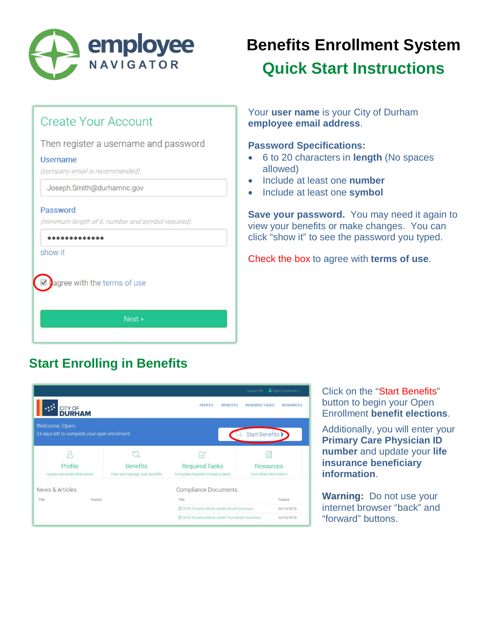

# **Benefits Enrollment System Quick Start Instructions**

### **Create Your Account**

#### Then register a username and password

#### **Username**

(company email is recommended)

Joseph.Smith@durhamnc.gov

#### Password

(minimum length of 6, number and symbol required)

 $$ 

show it

agree with the terms of use  $\checkmark$ 

Next »

Your **user name** is your City of Durham **employee email address**.

#### **Password Specifications:**

- 6 to 20 characters in **length** (No spaces allowed)
- **.** Include at least one **number**
- Include at least one **symbol**

**Save your password.** You may need it again to view your benefits or make changes. You can click "show it" to see the password you typed.

Check the box to agree with **terms of use**.

### **Start Enrolling in Benefits**



Click on the "Start Benefits" button to begin your Open Enrollment **benefit elections**.

Additionally, you will enter your **Primary Care Physician ID number** and update your **life insurance beneficiary information**.

**Warning:** Do not use your internet browser "back" and "forward" buttons.